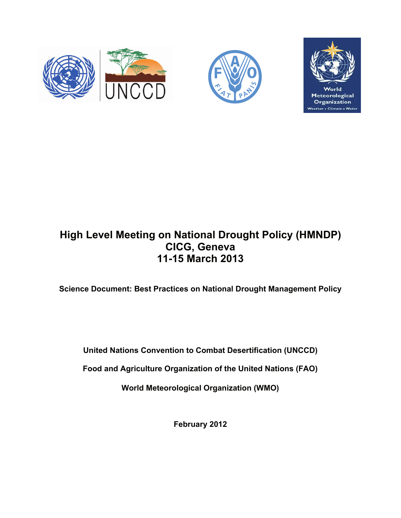

# **High Level Meeting on National Drought Policy (HMNDP) CICG, Geneva 11-15 March 2013**

**Science Document: Best Practices on National Drought Management Policy**

**United Nations Convention to Combat Desertification (UNCCD)** 

**Food and Agriculture Organization of the United Nations (FAO)** 

**World Meteorological Organization (WMO)** 

**February 2012**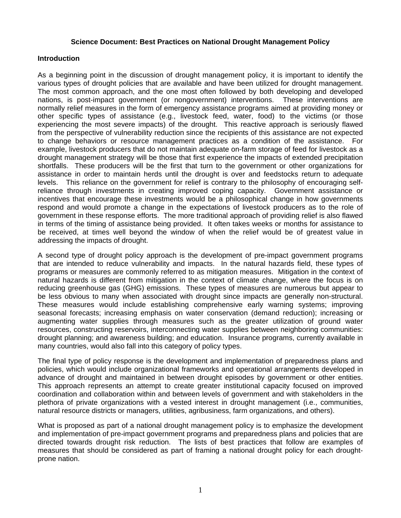## **Science Document: Best Practices on National Drought Management Policy**

## **Introduction**

As a beginning point in the discussion of drought management policy, it is important to identify the various types of drought policies that are available and have been utilized for drought management. The most common approach, and the one most often followed by both developing and developed nations, is post-impact government (or nongovernment) interventions. These interventions are normally relief measures in the form of emergency assistance programs aimed at providing money or other specific types of assistance (e.g., livestock feed, water, food) to the victims (or those experiencing the most severe impacts) of the drought. This reactive approach is seriously flawed from the perspective of vulnerability reduction since the recipients of this assistance are not expected to change behaviors or resource management practices as a condition of the assistance. For example, livestock producers that do not maintain adequate on-farm storage of feed for livestock as a drought management strategy will be those that first experience the impacts of extended precipitation shortfalls. These producers will be the first that turn to the government or other organizations for assistance in order to maintain herds until the drought is over and feedstocks return to adequate levels. This reliance on the government for relief is contrary to the philosophy of encouraging selfreliance through investments in creating improved coping capacity. Government assistance or incentives that encourage these investments would be a philosophical change in how governments respond and would promote a change in the expectations of livestock producers as to the role of government in these response efforts. The more traditional approach of providing relief is also flawed in terms of the timing of assistance being provided. It often takes weeks or months for assistance to be received, at times well beyond the window of when the relief would be of greatest value in addressing the impacts of drought.

A second type of drought policy approach is the development of pre-impact government programs that are intended to reduce vulnerability and impacts. In the natural hazards field, these types of programs or measures are commonly referred to as mitigation measures. Mitigation in the context of natural hazards is different from mitigation in the context of climate change, where the focus is on reducing greenhouse gas (GHG) emissions. These types of measures are numerous but appear to be less obvious to many when associated with drought since impacts are generally non-structural. These measures would include establishing comprehensive early warning systems; improving seasonal forecasts; increasing emphasis on water conservation (demand reduction); increasing or augmenting water supplies through measures such as the greater utilization of ground water resources, constructing reservoirs, interconnecting water supplies between neighboring communities: drought planning; and awareness building; and education. Insurance programs, currently available in many countries, would also fall into this category of policy types.

The final type of policy response is the development and implementation of preparedness plans and policies, which would include organizational frameworks and operational arrangements developed in advance of drought and maintained in between drought episodes by government or other entities. This approach represents an attempt to create greater institutional capacity focused on improved coordination and collaboration within and between levels of government and with stakeholders in the plethora of private organizations with a vested interest in drought management (i.e., communities, natural resource districts or managers, utilities, agribusiness, farm organizations, and others).

What is proposed as part of a national drought management policy is to emphasize the development and implementation of pre-impact government programs and preparedness plans and policies that are directed towards drought risk reduction. The lists of best practices that follow are examples of measures that should be considered as part of framing a national drought policy for each droughtprone nation.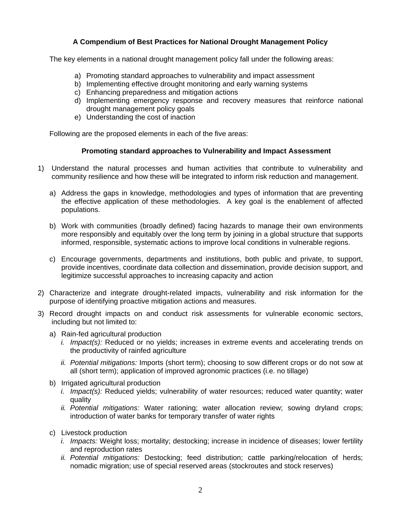# **A Compendium of Best Practices for National Drought Management Policy**

The key elements in a national drought management policy fall under the following areas:

- a) Promoting standard approaches to vulnerability and impact assessment
- b) Implementing effective drought monitoring and early warning systems
- c) Enhancing preparedness and mitigation actions
- d) Implementing emergency response and recovery measures that reinforce national drought management policy goals
- e) Understanding the cost of inaction

Following are the proposed elements in each of the five areas:

# **Promoting standard approaches to Vulnerability and Impact Assessment**

- 1) Understand the natural processes and human activities that contribute to vulnerability and community resilience and how these will be integrated to inform risk reduction and management.
	- a) Address the gaps in knowledge, methodologies and types of information that are preventing the effective application of these methodologies. A key goal is the enablement of affected populations.
	- b) Work with communities (broadly defined) facing hazards to manage their own environments more responsibly and equitably over the long term by joining in a global structure that supports informed, responsible, systematic actions to improve local conditions in vulnerable regions.
	- c) Encourage governments, departments and institutions, both public and private, to support, provide incentives, coordinate data collection and dissemination, provide decision support, and legitimize successful approaches to increasing capacity and action
- 2) Characterize and integrate drought-related impacts, vulnerability and risk information for the purpose of identifying proactive mitigation actions and measures.
- 3) Record drought impacts on and conduct risk assessments for vulnerable economic sectors, including but not limited to:
	- a) Rain-fed agricultural production
		- *i. Impact(s):* Reduced or no yields; increases in extreme events and accelerating trends on the productivity of rainfed agriculture
		- *ii. Potential mitigations:* Imports (short term); choosing to sow different crops or do not sow at all (short term); application of improved agronomic practices (i.e. no tillage)
	- b) Irrigated agricultural production
		- *i. Impact(s):* Reduced yields; vulnerability of water resources; reduced water quantity; water quality
		- *ii. Potential mitigations:* Water rationing; water allocation review; sowing dryland crops; introduction of water banks for temporary transfer of water rights
	- c) Livestock production
		- *i. Impacts:* Weight loss; mortality; destocking; increase in incidence of diseases; lower fertility and reproduction rates
		- *ii. Potential mitigations:* Destocking; feed distribution; cattle parking/relocation of herds; nomadic migration; use of special reserved areas (stockroutes and stock reserves)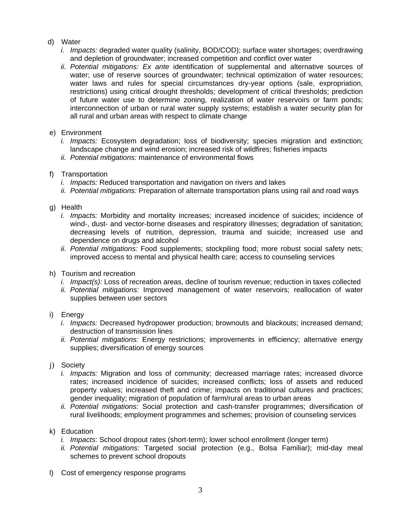- d) Water
	- *i. Impacts:* degraded water quality (salinity, BOD/COD); surface water shortages; overdrawing and depletion of groundwater; increased competition and conflict over water
	- *ii. Potential mitigations: Ex ante* identification of supplemental and alternative sources of water; use of reserve sources of groundwater; technical optimization of water resources; water laws and rules for special circumstances dry-year options (sale, expropriation, restrictions) using critical drought thresholds; development of critical thresholds; prediction of future water use to determine zoning, realization of water reservoirs or farm ponds; interconnection of urban or rural water supply systems; *e*stablish a water security plan for all rural and urban areas with respect to climate change
- e) Environment
	- *i. Impacts:* Ecosystem degradation; loss of biodiversity; species migration and extinction; landscape change and wind erosion; increased risk of wildfires; fisheries impacts
	- *ii. Potential mitigations:* maintenance of environmental flows
- f) Transportation
	- *i. Impacts:* Reduced transportation and navigation on rivers and lakes
	- *ii. Potential mitigations:* Preparation of alternate transportation plans using rail and road ways
- g) Health
	- *i. Impacts:* Morbidity and mortality increases; increased incidence of suicides; incidence of wind-, dust- and vector-borne diseases and respiratory illnesses; degradation of sanitation; decreasing levels of nutrition, depression, trauma and suicide; increased use and dependence on drugs and alcohol
	- *ii. Potential mitigations:* Food supplements; stockpiling food; more robust social safety nets; improved access to mental and physical health care; access to counseling services
- h) Tourism and recreation
	- *i. Impact(s):* Loss of recreation areas, decline of tourism revenue; reduction in taxes collected
	- *ii. Potential mitigations:* Improved management of water reservoirs; reallocation of water supplies between user sectors
- i) Energy
	- *i. Impacts:* Decreased hydropower production; brownouts and blackouts; increased demand; destruction of transmission lines
	- *ii. Potential mitigations:* Energy restrictions; improvements in efficiency; alternative energy supplies; diversification of energy sources
- i) Society
	- *i. Impacts:* Migration and loss of community; decreased marriage rates; increased divorce rates; increased incidence of suicides; increased conflicts; loss of assets and reduced property values; increased theft and crime; impacts on traditional cultures and practices; gender inequality; migration of population of farm/rural areas to urban areas
	- *ii. Potential mitigations:* Social protection and cash-transfer programmes; diversification of rural livelihoods; employment programmes and schemes; provision of counseling services
- k) Education
	- *i. Impacts*: School dropout rates (short-term); lower school enrollment (longer term)
	- *ii. Potential mitigations:* Targeted social protection (e.g., Bolsa Familiar); mid-day meal schemes to prevent school dropouts
- l) Cost of emergency response programs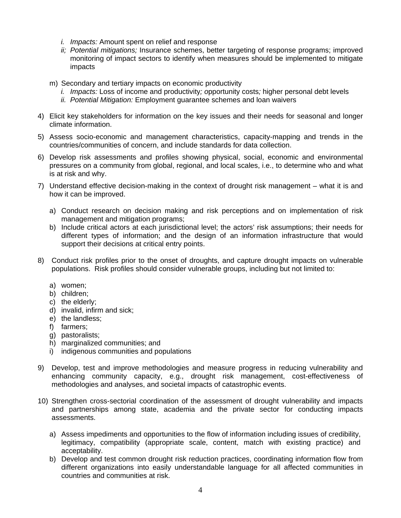- *i. Impacts:* Amount spent on relief and response
- *ii; Potential mitigations;* Insurance schemes, better targeting of response programs; improved monitoring of impact sectors to identify when measures should be implemented to mitigate impacts
- m) Secondary and tertiary impacts on economic productivity
	- *i. Impacts:* Loss of income and productivity*; o*pportunity costs*;* higher personal debt levels
	- *ii. Potential Mitigation:* Employment guarantee schemes and loan waivers
- 4) Elicit key stakeholders for information on the key issues and their needs for seasonal and longer climate information.
- 5) Assess socio-economic and management characteristics, capacity-mapping and trends in the countries/communities of concern, and include standards for data collection.
- 6) Develop risk assessments and profiles showing physical, social, economic and environmental pressures on a community from global, regional, and local scales, i.e., to determine who and what is at risk and why.
- 7) Understand effective decision-making in the context of drought risk management what it is and how it can be improved.
	- a) Conduct research on decision making and risk perceptions and on implementation of risk management and mitigation programs;
	- b) Include critical actors at each jurisdictional level; the actors' risk assumptions; their needs for different types of information; and the design of an information infrastructure that would support their decisions at critical entry points.
- 8) Conduct risk profiles prior to the onset of droughts, and capture drought impacts on vulnerable populations. Risk profiles should consider vulnerable groups, including but not limited to:
	- a) women;
	- b) children;
	- c) the elderly;
	- d) invalid, infirm and sick;
	- e) the landless;
	- f) farmers;
	- g) pastoralists;
	- h) marginalized communities; and
	- i) indigenous communities and populations
- 9) Develop, test and improve methodologies and measure progress in reducing vulnerability and enhancing community capacity, e.g., drought risk management, cost-effectiveness of methodologies and analyses, and societal impacts of catastrophic events.
- 10) Strengthen cross-sectorial coordination of the assessment of drought vulnerability and impacts and partnerships among state, academia and the private sector for conducting impacts assessments.
	- a) Assess impediments and opportunities to the flow of information including issues of credibility, legitimacy, compatibility (appropriate scale, content, match with existing practice) and acceptability.
	- b) Develop and test common drought risk reduction practices, coordinating information flow from different organizations into easily understandable language for all affected communities in countries and communities at risk.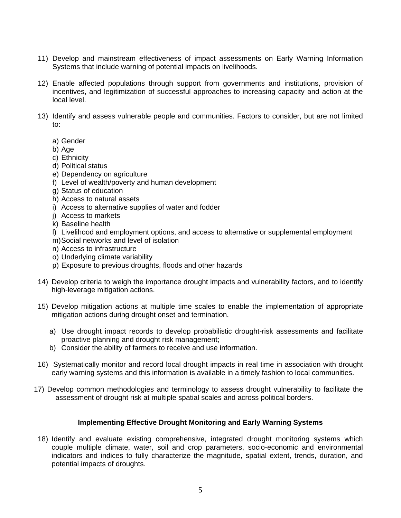- 11) Develop and mainstream effectiveness of impact assessments on Early Warning Information Systems that include warning of potential impacts on livelihoods.
- 12) Enable affected populations through support from governments and institutions, provision of incentives, and legitimization of successful approaches to increasing capacity and action at the local level.
- 13) Identify and assess vulnerable people and communities. Factors to consider, but are not limited to:
	- a) Gender
	- b) Age
	- c) Ethnicity
	- d) Political status
	- e) Dependency on agriculture
	- f) Level of wealth/poverty and human development
	- g) Status of education
	- h) Access to natural assets
	- i) Access to alternative supplies of water and fodder
	- j) Access to markets
	- k) Baseline health
	- l) Livelihood and employment options, and access to alternative or supplemental employment
	- m) Social networks and level of isolation
	- n) Access to infrastructure
	- o) Underlying climate variability
	- p) Exposure to previous droughts, floods and other hazards
- 14) Develop criteria to weigh the importance drought impacts and vulnerability factors, and to identify high-leverage mitigation actions.
- 15) Develop mitigation actions at multiple time scales to enable the implementation of appropriate mitigation actions during drought onset and termination.
	- a) Use drought impact records to develop probabilistic drought-risk assessments and facilitate proactive planning and drought risk management;
	- b) Consider the ability of farmers to receive and use information.
- 16) Systematically monitor and record local drought impacts in real time in association with drought early warning systems and this information is available in a timely fashion to local communities.
- 17) Develop common methodologies and terminology to assess drought vulnerability to facilitate the assessment of drought risk at multiple spatial scales and across political borders.

# **Implementing Effective Drought Monitoring and Early Warning Systems**

18) Identify and evaluate existing comprehensive, integrated drought monitoring systems which couple multiple climate, water, soil and crop parameters, socio-economic and environmental indicators and indices to fully characterize the magnitude, spatial extent, trends, duration, and potential impacts of droughts.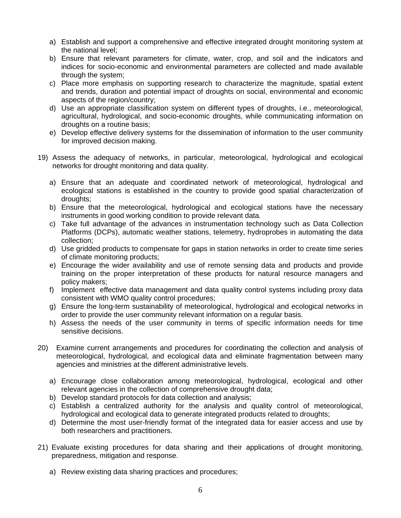- a) Establish and support a comprehensive and effective integrated drought monitoring system at the national level;
- b) Ensure that relevant parameters for climate, water, crop, and soil and the indicators and indices for socio-economic and environmental parameters are collected and made available through the system;
- c) Place more emphasis on supporting research to characterize the magnitude, spatial extent and trends, duration and potential impact of droughts on social, environmental and economic aspects of the region/country;
- d) Use an appropriate classification system on different types of droughts, i.e., meteorological, agricultural, hydrological, and socio-economic droughts, while communicating information on droughts on a routine basis;
- e) Develop effective delivery systems for the dissemination of information to the user community for improved decision making.
- 19) Assess the adequacy of networks, in particular, meteorological, hydrological and ecological networks for drought monitoring and data quality.
	- a) Ensure that an adequate and coordinated network of meteorological, hydrological and ecological stations is established in the country to provide good spatial characterization of droughts;
	- b) Ensure that the meteorological, hydrological and ecological stations have the necessary instruments in good working condition to provide relevant data*.*
	- c) Take full advantage of the advances in instrumentation technology such as Data Collection Platforms (DCPs), automatic weather stations, telemetry, hydroprobes in automating the data collection;
	- d) Use gridded products to compensate for gaps in station networks in order to create time series of climate monitoring products;
	- e) Encourage the wider availability and use of remote sensing data and products and provide training on the proper interpretation of these products for natural resource managers and policy makers;
	- f) Implement effective data management and data quality control systems including proxy data consistent with WMO quality control procedures;
	- g) Ensure the long-term sustainability of meteorological, hydrological and ecological networks in order to provide the user community relevant information on a regular basis.
	- h) Assess the needs of the user community in terms of specific information needs for time sensitive decisions.
- 20) Examine current arrangements and procedures for coordinating the collection and analysis of meteorological, hydrological, and ecological data and eliminate fragmentation between many agencies and ministries at the different administrative levels.
	- a) Encourage close collaboration among meteorological, hydrological, ecological and other relevant agencies in the collection of comprehensive drought data;
	- b) Develop standard protocols for data collection and analysis;
	- c) Establish a centralized authority for the analysis and quality control of meteorological, hydrological and ecological data to generate integrated products related to droughts;
	- d) Determine the most user-friendly format of the integrated data for easier access and use by both researchers and practitioners.
- 21) Evaluate existing procedures for data sharing and their applications of drought monitoring, preparedness, mitigation and response.
	- a) Review existing data sharing practices and procedures;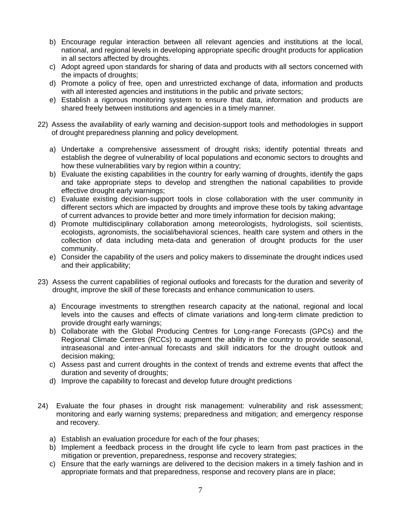- b) Encourage regular interaction between all relevant agencies and institutions at the local, national, and regional levels in developing appropriate specific drought products for application in all sectors affected by droughts.
- c) Adopt agreed upon standards for sharing of data and products with all sectors concerned with the impacts of droughts;
- d) Promote a policy of free, open and unrestricted exchange of data, information and products with all interested agencies and institutions in the public and private sectors;
- e) Establish a rigorous monitoring system to ensure that data, information and products are shared freely between institutions and agencies in a timely manner.
- 22) Assess the availability of early warning and decision-support tools and methodologies in support of drought preparedness planning and policy development.
	- a) Undertake a comprehensive assessment of drought risks; identify potential threats and establish the degree of vulnerability of local populations and economic sectors to droughts and how these vulnerabilities vary by region within a country;
	- b) Evaluate the existing capabilities in the country for early warning of droughts, identify the gaps and take appropriate steps to develop and strengthen the national capabilities to provide effective drought early warnings;
	- c) Evaluate existing decision-support tools in close collaboration with the user community in different sectors which are impacted by droughts and improve these tools by taking advantage of current advances to provide better and more timely information for decision making;
	- d) Promote multidisciplinary collaboration among meteorologists, hydrologists, soil scientists, ecologists, agronomists, the social/behavioral sciences, health care system and others in the collection of data including meta-data and generation of drought products for the user community.
	- e) Consider the capability of the users and policy makers to disseminate the drought indices used and their applicability;
- 23) Assess the current capabilities of regional outlooks and forecasts for the duration and severity of drought, improve the skill of these forecasts and enhance communication to users.
	- a) Encourage investments to strengthen research capacity at the national, regional and local levels into the causes and effects of climate variations and long-term climate prediction to provide drought early warnings;
	- b) Collaborate with the Global Producing Centres for Long-range Forecasts (GPCs) and the Regional Climate Centres (RCCs) to augment the ability in the country to provide seasonal, intraseasonal and inter-annual forecasts and skill indicators for the drought outlook and decision making;
	- c) Assess past and current droughts in the context of trends and extreme events that affect the duration and severity of droughts;
	- d) Improve the capability to forecast and develop future drought predictions
- 24) Evaluate the four phases in drought risk management: vulnerability and risk assessment; monitoring and early warning systems; preparedness and mitigation; and emergency response and recovery.
	- a) Establish an evaluation procedure for each of the four phases;
	- b) Implement a feedback process in the drought life cycle to learn from past practices in the mitigation or prevention, preparedness, response and recovery strategies;
	- c) Ensure that the early warnings are delivered to the decision makers in a timely fashion and in appropriate formats and that preparedness, response and recovery plans are in place;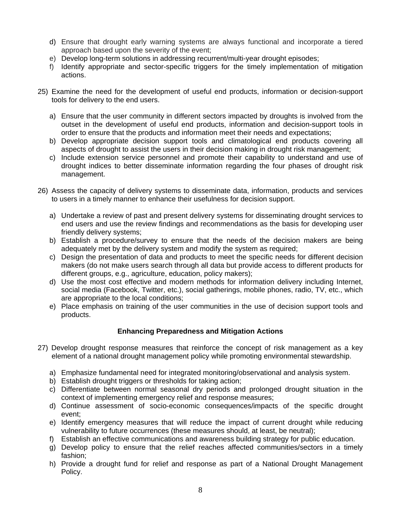- d) Ensure that drought early warning systems are always functional and incorporate a tiered approach based upon the severity of the event;
- e) Develop long-term solutions in addressing recurrent/multi-year drought episodes;
- f) Identify appropriate and sector-specific triggers for the timely implementation of mitigation actions.
- 25) Examine the need for the development of useful end products, information or decision-support tools for delivery to the end users.
	- a) Ensure that the user community in different sectors impacted by droughts is involved from the outset in the development of useful end products, information and decision-support tools in order to ensure that the products and information meet their needs and expectations;
	- b) Develop appropriate decision support tools and climatological end products covering all aspects of drought to assist the users in their decision making in drought risk management;
	- c) Include extension service personnel and promote their capability to understand and use of drought indices to better disseminate information regarding the four phases of drought risk management.
- 26) Assess the capacity of delivery systems to disseminate data, information, products and services to users in a timely manner to enhance their usefulness for decision support.
	- a) Undertake a review of past and present delivery systems for disseminating drought services to end users and use the review findings and recommendations as the basis for developing user friendly delivery systems;
	- b) Establish a procedure/survey to ensure that the needs of the decision makers are being adequately met by the delivery system and modify the system as required;
	- c) Design the presentation of data and products to meet the specific needs for different decision makers (do not make users search through all data but provide access to different products for different groups, e.g., agriculture, education, policy makers);
	- d) Use the most cost effective and modern methods for information delivery including Internet, social media (Facebook, Twitter, etc.), social gatherings, mobile phones, radio, TV, etc., which are appropriate to the local conditions;
	- e) Place emphasis on training of the user communities in the use of decision support tools and products.

# **Enhancing Preparedness and Mitigation Actions**

- 27) Develop drought response measures that reinforce the concept of risk management as a key element of a national drought management policy while promoting environmental stewardship.
	- a) Emphasize fundamental need for integrated monitoring/observational and analysis system.
	- b) Establish drought triggers or thresholds for taking action;
	- c) Differentiate between normal seasonal dry periods and prolonged drought situation in the context of implementing emergency relief and response measures;
	- d) Continue assessment of socio-economic consequences/impacts of the specific drought event;
	- e) Identify emergency measures that will reduce the impact of current drought while reducing vulnerability to future occurrences (these measures should, at least, be neutral);
	- f) Establish an effective communications and awareness building strategy for public education.
	- g) Develop policy to ensure that the relief reaches affected communities/sectors in a timely fashion;
	- h) Provide a drought fund for relief and response as part of a National Drought Management Policy.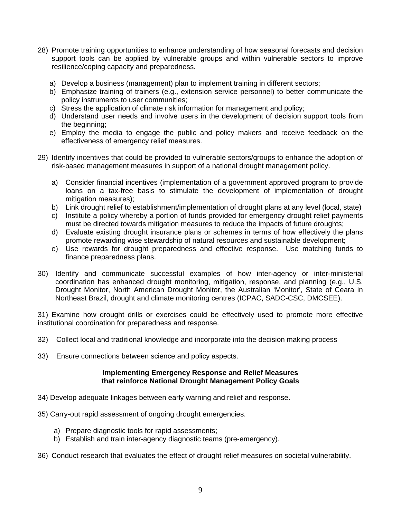- 28) Promote training opportunities to enhance understanding of how seasonal forecasts and decision support tools can be applied by vulnerable groups and within vulnerable sectors to improve resilience/coping capacity and preparedness.
	- a) Develop a business (management) plan to implement training in different sectors;
	- b) Emphasize training of trainers (e.g., extension service personnel) to better communicate the policy instruments to user communities;
	- c) Stress the application of climate risk information for management and policy;
	- d) Understand user needs and involve users in the development of decision support tools from the beginning;
	- e) Employ the media to engage the public and policy makers and receive feedback on the effectiveness of emergency relief measures.
- 29) Identify incentives that could be provided to vulnerable sectors/groups to enhance the adoption of risk-based management measures in support of a national drought management policy.
	- a) Consider financial incentives (implementation of a government approved program to provide loans on a tax-free basis to stimulate the development of implementation of drought mitigation measures);
	- b) Link drought relief to establishment/implementation of drought plans at any level (local, state)
	- c) Institute a policy whereby a portion of funds provided for emergency drought relief payments must be directed towards mitigation measures to reduce the impacts of future droughts;
	- d) Evaluate existing drought insurance plans or schemes in terms of how effectively the plans promote rewarding wise stewardship of natural resources and sustainable development;
	- e) Use rewards for drought preparedness and effective response. Use matching funds to finance preparedness plans.
- 30) Identify and communicate successful examples of how inter-agency or inter-ministerial coordination has enhanced drought monitoring, mitigation, response, and planning (e.g., U.S. Drought Monitor, North American Drought Monitor, the Australian 'Monitor', State of Ceara in Northeast Brazil, drought and climate monitoring centres (ICPAC, SADC-CSC, DMCSEE).

31) Examine how drought drills or exercises could be effectively used to promote more effective institutional coordination for preparedness and response.

- 32) Collect local and traditional knowledge and incorporate into the decision making process
- 33) Ensure connections between science and policy aspects.

#### **Implementing Emergency Response and Relief Measures that reinforce National Drought Management Policy Goals**

- 34) Develop adequate linkages between early warning and relief and response.
- 35) Carry-out rapid assessment of ongoing drought emergencies.
	- a) Prepare diagnostic tools for rapid assessments;
	- b) Establish and train inter-agency diagnostic teams (pre-emergency).
- 36) Conduct research that evaluates the effect of drought relief measures on societal vulnerability.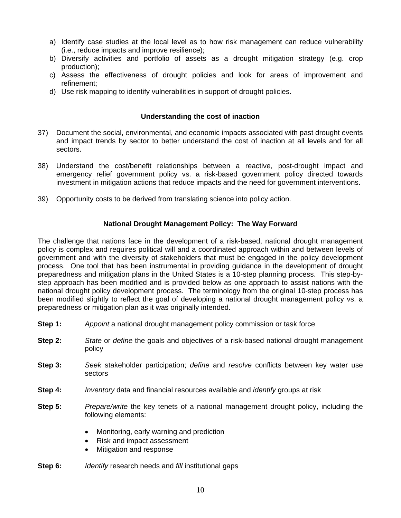- a) Identify case studies at the local level as to how risk management can reduce vulnerability (i.e., reduce impacts and improve resilience);
- b) Diversify activities and portfolio of assets as a drought mitigation strategy (e.g. crop production);
- c) Assess the effectiveness of drought policies and look for areas of improvement and refinement;
- d) Use risk mapping to identify vulnerabilities in support of drought policies.

## **Understanding the cost of inaction**

- 37) Document the social, environmental, and economic impacts associated with past drought events and impact trends by sector to better understand the cost of inaction at all levels and for all sectors.
- 38) Understand the cost/benefit relationships between a reactive, post-drought impact and emergency relief government policy vs. a risk-based government policy directed towards investment in mitigation actions that reduce impacts and the need for government interventions.
- 39) Opportunity costs to be derived from translating science into policy action.

## **National Drought Management Policy: The Way Forward**

The challenge that nations face in the development of a risk-based, national drought management policy is complex and requires political will and a coordinated approach within and between levels of government and with the diversity of stakeholders that must be engaged in the policy development process. One tool that has been instrumental in providing guidance in the development of drought preparedness and mitigation plans in the United States is a 10-step planning process. This step-bystep approach has been modified and is provided below as one approach to assist nations with the national drought policy development process. The terminology from the original 10-step process has been modified slightly to reflect the goal of developing a national drought management policy vs. a preparedness or mitigation plan as it was originally intended.

- **Step 1:** *Appoint* a national drought management policy commission or task force
- **Step 2:** *State* or *define* the goals and objectives of a risk-based national drought management policy
- **Step 3:** *Seek* stakeholder participation; *define* and *resolve* conflicts between key water use sectors
- **Step 4:** *Inventory* data and financial resources available and *identify* groups at risk
- **Step 5:** *Prepare/write* the key tenets of a national management drought policy, including the following elements:
	- Monitoring, early warning and prediction
	- Risk and impact assessment
	- Mitigation and response
- **Step 6:** *Identify* research needs and *fill* institutional gaps